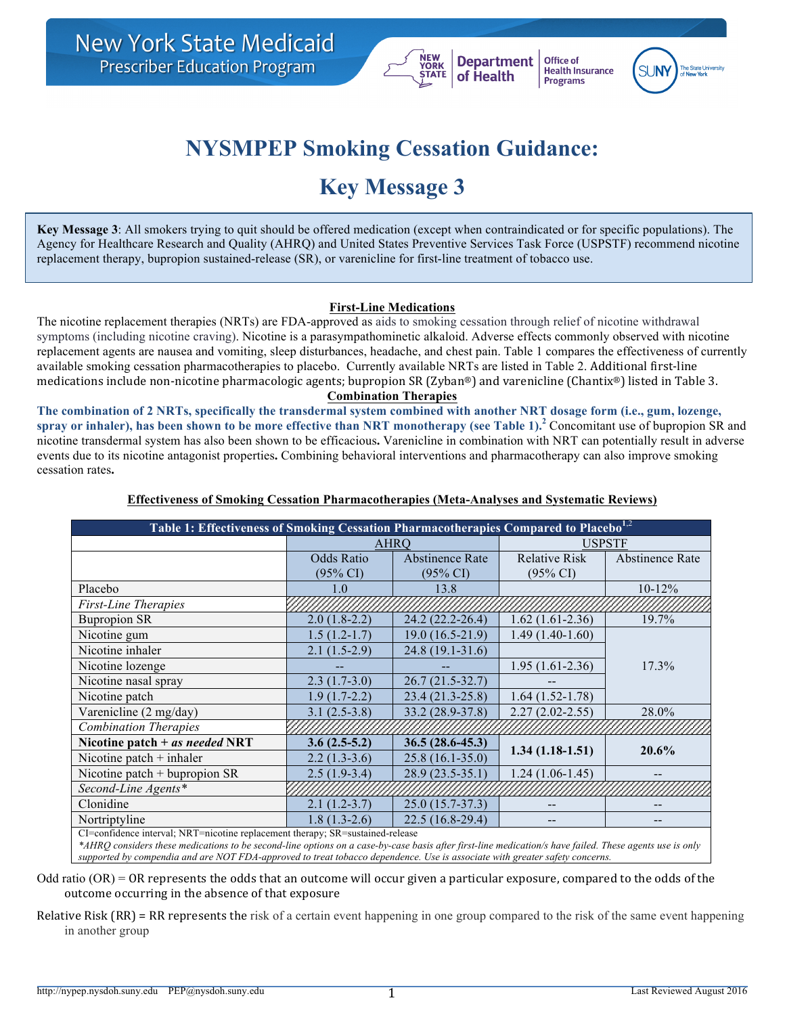

Office of **Health Insurance Programs** 

# **NYSMPEP Smoking Cessation Guidance:**

## **Key Message 3**

**Key Message 3**: All smokers trying to quit should be offered medication (except when contraindicated or for specific populations). The Agency for Healthcare Research and Quality (AHRQ) and United States Preventive Services Task Force (USPSTF) recommend nicotine replacement therapy, bupropion sustained-release (SR), or varenicline for first-line treatment of tobacco use.

#### **First-Line Medications**

The nicotine replacement therapies (NRTs) are FDA-approved as aids to smoking cessation through relief of nicotine withdrawal symptoms (including nicotine craving). Nicotine is a parasympathominetic alkaloid. Adverse effects commonly observed with nicotine replacement agents are nausea and vomiting, sleep disturbances, headache, and chest pain. Table 1 compares the effectiveness of currently available smoking cessation pharmacotherapies to placebo. Currently available NRTs are listed in Table 2. Additional first-line medications include non-nicotine pharmacologic agents; bupropion SR (Zyban®) and varenicline (Chantix®) listed in Table 3.

#### **Combination Therapies**

**The combination of 2 NRTs, specifically the transdermal system combined with another NRT dosage form (i.e., gum, lozenge, spray or inhaler), has been shown to be more effective than NRT monotherapy (see Table 1). <sup>2</sup>** Concomitant use of bupropion SR and nicotine transdermal system has also been shown to be efficacious**.** Varenicline in combination with NRT can potentially result in adverse events due to its nicotine antagonist properties**.** Combining behavioral interventions and pharmacotherapy can also improve smoking cessation rates**.** 

| Table 1: Effectiveness of Smoking Cessation Pharmacotherapies Compared to Placebo <sup>1,2</sup>                                                        |                     |                        |                            |                 |  |
|---------------------------------------------------------------------------------------------------------------------------------------------------------|---------------------|------------------------|----------------------------|-----------------|--|
|                                                                                                                                                         | AHRO                |                        |                            | <b>USPSTF</b>   |  |
|                                                                                                                                                         | <b>Odds Ratio</b>   | <b>Abstinence Rate</b> | <b>Relative Risk</b>       | Abstinence Rate |  |
|                                                                                                                                                         | $(95\% \text{ CI})$ | $(95\% \text{ CI})$    | $(95\% \text{ CI})$        |                 |  |
| Placebo                                                                                                                                                 | LO.                 | 13.8                   |                            | $10-12%$        |  |
| <b>First-Line Therapies</b>                                                                                                                             |                     |                        |                            |                 |  |
| <b>Bupropion SR</b>                                                                                                                                     | $2.0(1.8-2.2)$      | 24.2 (22.2-26.4)       | $1.62(1.61-2.36)$          | 19.7%           |  |
| Nicotine gum                                                                                                                                            | $1.5(1.2-1.7)$      | $19.0(16.5-21.9)$      | $1.49(1.40-1.60)$          |                 |  |
| Nicotine inhaler                                                                                                                                        | $2.1(1.5-2.9)$      | 24.8 (19.1-31.6)       |                            | 17.3%           |  |
| Nicotine lozenge                                                                                                                                        |                     |                        | $1.95(1.61-2.36)$          |                 |  |
| Nicotine nasal spray                                                                                                                                    | $2.3(1.7-3.0)$      | $26.7(21.5-32.7)$      |                            |                 |  |
| Nicotine patch                                                                                                                                          | $1.9(1.7-2.2)$      | $23.4(21.3-25.8)$      | $1.64(1.52-1.78)$          |                 |  |
| Varenicline (2 mg/day)                                                                                                                                  | $3.1(2.5-3.8)$      | 33.2 (28.9-37.8)       | $2.27(2.02 - 2.55)$        | 28.0%           |  |
| <b>Combination Therapies</b>                                                                                                                            |                     |                        |                            |                 |  |
| Nicotine patch $+$ as needed NRT                                                                                                                        | $3.6(2.5-5.2)$      | $36.5(28.6-45.3)$      | $1.34(1.18-1.51)$<br>20.6% |                 |  |
| Nicotine patch $+$ inhaler                                                                                                                              | $2.2(1.3-3.6)$      | $25.8(16.1-35.0)$      |                            |                 |  |
| Nicotine patch $+$ bupropion SR                                                                                                                         | $2.5(1.9-3.4)$      | 28.9 (23.5-35.1)       | $1.24(1.06-1.45)$          | --              |  |
| Second-Line Agents*                                                                                                                                     |                     |                        |                            |                 |  |
| Clonidine                                                                                                                                               | $2.1(1.2-3.7)$      | $25.0(15.7-37.3)$      |                            |                 |  |
| Nortriptyline                                                                                                                                           | $1.8(1.3-2.6)$      | $22.5(16.8-29.4)$      |                            | --              |  |
| CI=confidence interval; NRT=nicotine replacement therapy; SR=sustained-release                                                                          |                     |                        |                            |                 |  |
| *AHRQ considers these medications to be second-line options on a case-by-case basis after first-line medication/s have failed. These agents use is only |                     |                        |                            |                 |  |
| supported by compendia and are NOT FDA-approved to treat tobacco dependence. Use is associate with greater safety concerns.                             |                     |                        |                            |                 |  |

#### **Effectiveness of Smoking Cessation Pharmacotherapies (Meta-Analyses and Systematic Reviews)**

Odd ratio  $(OR)$  = OR represents the odds that an outcome will occur given a particular exposure, compared to the odds of the outcome occurring in the absence of that exposure

Relative Risk  $(RR)$  = RR represents the risk of a certain event happening in one group compared to the risk of the same event happening in another group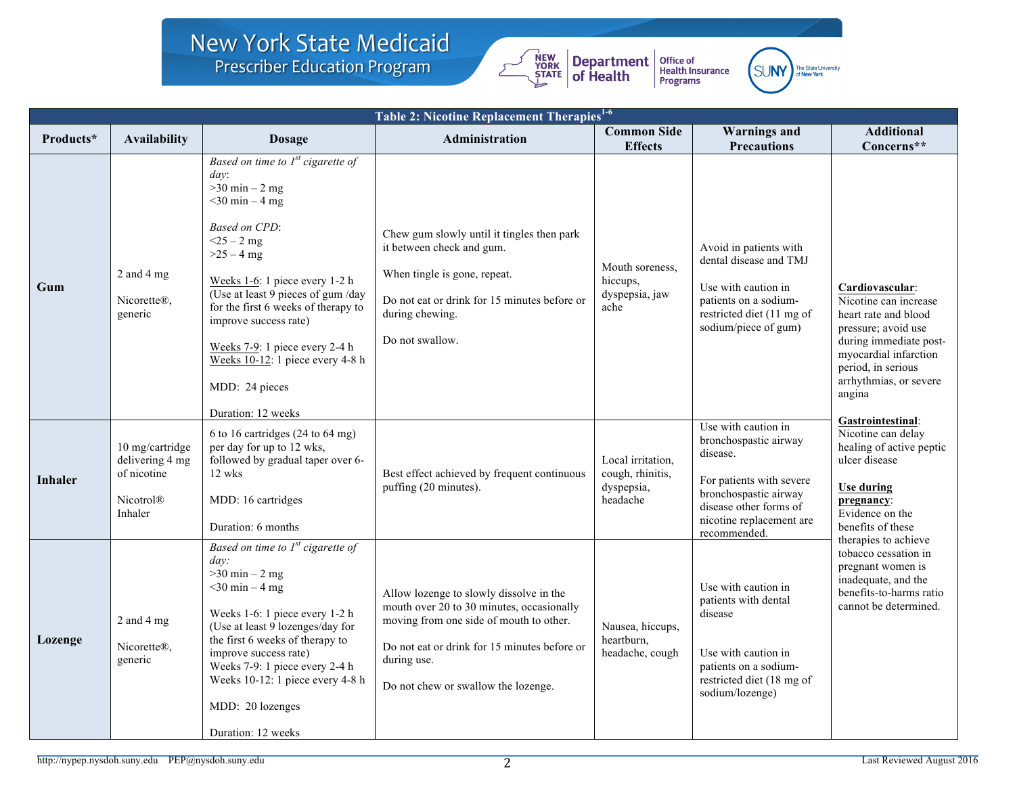## **New York State Medicaid Prescriber Education Program**



Office of<br>Health Insurance<br>Programs



| <b>Table 2: Nicotine Replacement Therapies<sup>1-6</sup></b> |                                                                                  |                                                                                                                                                                                                                                                                                                                                                                                                         |                                                                                                                                                                                                                                       |                                                                 |                                                                                                                                                                                     |                                                                                                                                                                                                      |
|--------------------------------------------------------------|----------------------------------------------------------------------------------|---------------------------------------------------------------------------------------------------------------------------------------------------------------------------------------------------------------------------------------------------------------------------------------------------------------------------------------------------------------------------------------------------------|---------------------------------------------------------------------------------------------------------------------------------------------------------------------------------------------------------------------------------------|-----------------------------------------------------------------|-------------------------------------------------------------------------------------------------------------------------------------------------------------------------------------|------------------------------------------------------------------------------------------------------------------------------------------------------------------------------------------------------|
| Products*                                                    | Availability                                                                     | <b>Dosage</b>                                                                                                                                                                                                                                                                                                                                                                                           | Administration                                                                                                                                                                                                                        | <b>Common Side</b><br><b>Effects</b>                            | <b>Warnings</b> and<br><b>Precautions</b>                                                                                                                                           | <b>Additional</b><br>Concerns**                                                                                                                                                                      |
| Gum                                                          | 2 and 4 mg<br>Nicorette®,<br>generic                                             | Based on time to $Ist$ cigarette of<br>$dav$ :<br>$>30$ min $-2$ mg<br>$<$ 30 min – 4 mg<br><b>Based on CPD:</b><br>$<$ 25 – 2 mg<br>$>25 - 4$ mg<br>Weeks 1-6: 1 piece every 1-2 h<br>(Use at least 9 pieces of gum /day<br>for the first 6 weeks of therapy to<br>improve success rate)<br>Weeks 7-9: 1 piece every 2-4 h<br>Weeks 10-12: 1 piece every 4-8 h<br>MDD: 24 pieces<br>Duration: 12 weeks | Chew gum slowly until it tingles then park<br>it between check and gum.<br>When tingle is gone, repeat.<br>Do not eat or drink for 15 minutes before or<br>during chewing.<br>Do not swallow.                                         | Mouth soreness.<br>hiccups,<br>dyspepsia, jaw<br>ache           | Avoid in patients with<br>dental disease and TMJ<br>Use with caution in<br>patients on a sodium-<br>restricted diet (11 mg of<br>sodium/piece of gum)                               | Cardiovascular:<br>Nicotine can increase<br>heart rate and blood<br>pressure; avoid use<br>during immediate post-<br>myocardial infarction<br>period, in serious<br>arrhythmias, or severe<br>angina |
| <b>Inhaler</b>                                               | 10 mg/cartridge<br>delivering 4 mg<br>of nicotine<br><b>Nicotrol®</b><br>Inhaler | 6 to 16 cartridges $(24 \text{ to } 64 \text{ mg})$<br>per day for up to 12 wks,<br>followed by gradual taper over 6-<br>12 wks<br>MDD: 16 cartridges<br>Duration: 6 months                                                                                                                                                                                                                             | Best effect achieved by frequent continuous<br>puffing (20 minutes).                                                                                                                                                                  | Local irritation,<br>cough, rhinitis,<br>dyspepsia,<br>headache | Use with caution in<br>bronchospastic airway<br>disease.<br>For patients with severe<br>bronchospastic airway<br>disease other forms of<br>nicotine replacement are<br>recommended. | Gastrointestinal:<br>Nicotine can delay<br>healing of active peptic<br>ulcer disease<br><b>Use during</b><br>pregnancy:<br>Evidence on the<br>benefits of these                                      |
| Lozenge                                                      | 2 and 4 mg<br>Nicorette®,<br>generic                                             | Based on time to $Ist$ cigarette of<br>day:<br>$>30$ min $-2$ mg<br>$<$ 30 min – 4 mg<br>Weeks 1-6: 1 piece every 1-2 h<br>(Use at least 9 lozenges/day for<br>the first 6 weeks of therapy to<br>improve success rate)<br>Weeks 7-9: 1 piece every 2-4 h<br>Weeks 10-12: 1 piece every 4-8 h<br>MDD: 20 lozenges<br>Duration: 12 weeks                                                                 | Allow lozenge to slowly dissolve in the<br>mouth over 20 to 30 minutes, occasionally<br>moving from one side of mouth to other.<br>Do not eat or drink for 15 minutes before or<br>during use.<br>Do not chew or swallow the lozenge. | Nausea, hiccups,<br>heartburn,<br>headache, cough               | Use with caution in<br>patients with dental<br>disease<br>Use with caution in<br>patients on a sodium-<br>restricted diet (18 mg of<br>sodium/lozenge)                              | therapies to achieve<br>tobacco cessation in<br>pregnant women is<br>inadequate, and the<br>benefits-to-harms ratio<br>cannot be determined.                                                         |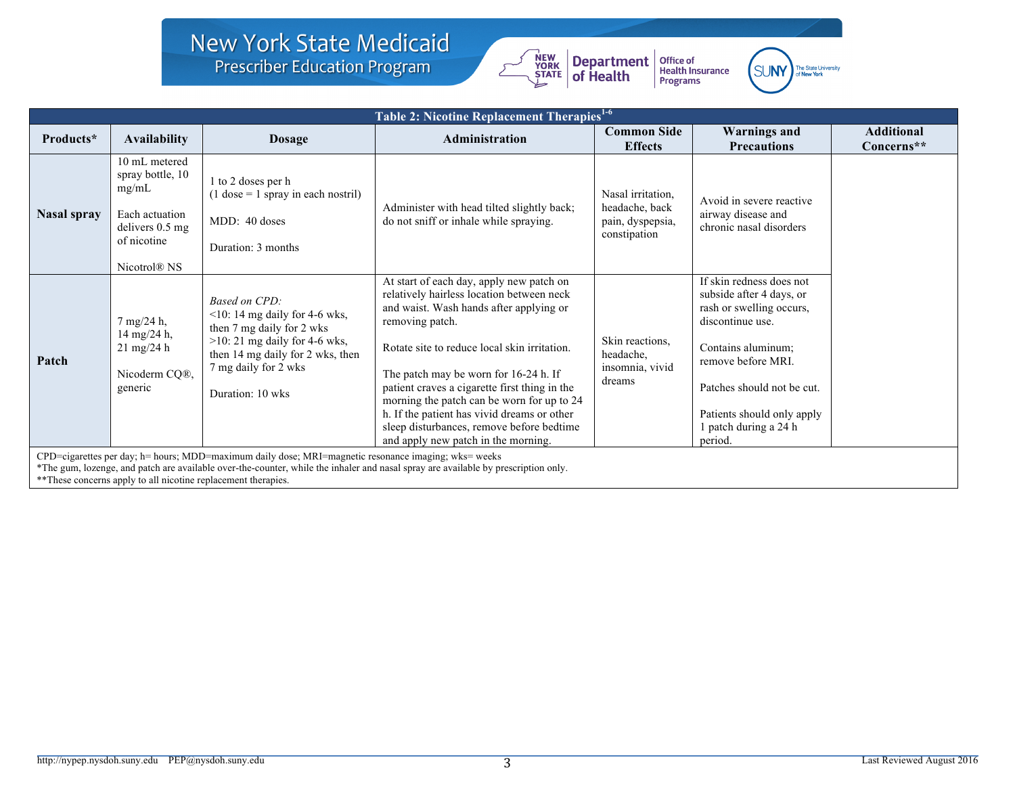## New York State Medicaid **Prescriber Education Program**



Office of<br>Health Insurance<br>Programs



| <b>Table 2: Nicotine Replacement Therapies<sup>1-6</sup></b>                                                                                                                                                                                                                                                 |                                                                                                                                      |                                                                                                                                                                                                            |                                                                                                                                                                                                                                                                                                                                                                                                                                                                                |                                                                         |                                                                                                                                                                                                                                                |                                 |
|--------------------------------------------------------------------------------------------------------------------------------------------------------------------------------------------------------------------------------------------------------------------------------------------------------------|--------------------------------------------------------------------------------------------------------------------------------------|------------------------------------------------------------------------------------------------------------------------------------------------------------------------------------------------------------|--------------------------------------------------------------------------------------------------------------------------------------------------------------------------------------------------------------------------------------------------------------------------------------------------------------------------------------------------------------------------------------------------------------------------------------------------------------------------------|-------------------------------------------------------------------------|------------------------------------------------------------------------------------------------------------------------------------------------------------------------------------------------------------------------------------------------|---------------------------------|
| Products*                                                                                                                                                                                                                                                                                                    | <b>Availability</b>                                                                                                                  | <b>Dosage</b>                                                                                                                                                                                              | <b>Administration</b>                                                                                                                                                                                                                                                                                                                                                                                                                                                          | <b>Common Side</b><br><b>Effects</b>                                    | <b>Warnings and</b><br><b>Precautions</b>                                                                                                                                                                                                      | <b>Additional</b><br>Concerns** |
| <b>Nasal spray</b>                                                                                                                                                                                                                                                                                           | 10 mL metered<br>spray bottle, 10<br>mg/mL<br>Each actuation<br>delivers $0.5 \text{ mg}$<br>of nicotine<br>Nicotrol <sup>®</sup> NS | 1 to 2 doses per h<br>$(1$ dose = 1 spray in each nostril)<br>MDD: 40 doses<br>Duration: 3 months                                                                                                          | Administer with head tilted slightly back;<br>do not sniff or inhale while spraying.                                                                                                                                                                                                                                                                                                                                                                                           | Nasal irritation,<br>headache, back<br>pain, dyspepsia,<br>constipation | Avoid in severe reactive<br>airway disease and<br>chronic nasal disorders                                                                                                                                                                      |                                 |
| Patch                                                                                                                                                                                                                                                                                                        | 7 mg/24 h,<br>14 mg/24 h,<br>$21 \text{ mg}/24 \text{ h}$<br>Nicoderm CQ®,<br>generic                                                | <b>Based on CPD:</b><br>$\leq$ 10: 14 mg daily for 4-6 wks,<br>then 7 mg daily for 2 wks<br>$>10:21$ mg daily for 4-6 wks,<br>then 14 mg daily for 2 wks, then<br>7 mg daily for 2 wks<br>Duration: 10 wks | At start of each day, apply new patch on<br>relatively hairless location between neck<br>and waist. Wash hands after applying or<br>removing patch.<br>Rotate site to reduce local skin irritation.<br>The patch may be worn for 16-24 h. If<br>patient craves a cigarette first thing in the<br>morning the patch can be worn for up to 24<br>h. If the patient has vivid dreams or other<br>sleep disturbances, remove before bedtime<br>and apply new patch in the morning. | Skin reactions,<br>headache,<br>insomnia, vivid<br>dreams               | If skin redness does not<br>subside after 4 days, or<br>rash or swelling occurs,<br>discontinue use.<br>Contains aluminum;<br>remove before MRI.<br>Patches should not be cut.<br>Patients should only apply<br>patch during a 24 h<br>period. |                                 |
| CPD=cigarettes per day; h= hours; MDD=maximum daily dose; MRI=magnetic resonance imaging; wks= weeks<br>*The gum, lozenge, and patch are available over-the-counter, while the inhaler and nasal spray are available by prescription only.<br>** These concerns apply to all nicotine replacement therapies. |                                                                                                                                      |                                                                                                                                                                                                            |                                                                                                                                                                                                                                                                                                                                                                                                                                                                                |                                                                         |                                                                                                                                                                                                                                                |                                 |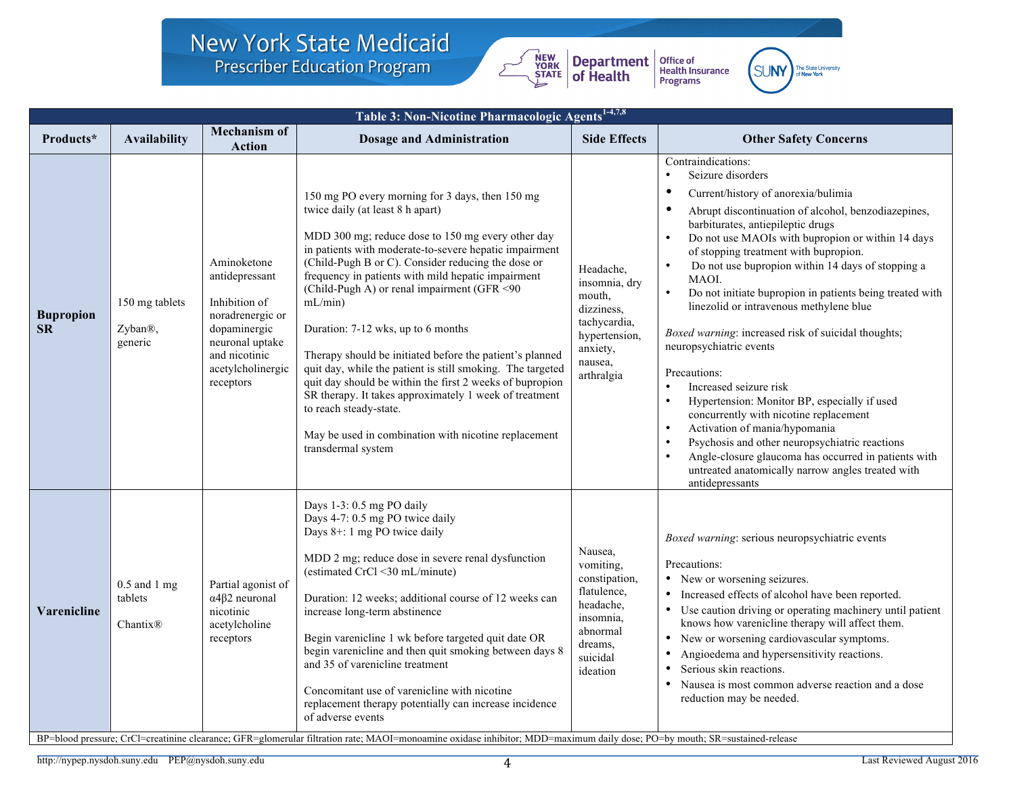### New York State Medicaid **Prescriber Education Program**



Office of<br>Health Insurance<br>Programs



| Table 3: Non-Nicotine Pharmacologic Agents <sup>1-4,7,8</sup> |                                                     |                                                                                                                                                          |                                                                                                                                                                                                                                                                                                                                                                                                                                                                                                                                                                                                                                                                                                                                                                       |                                                                                                                               |                                                                                                                                                                                                                                                                                                                                                                                                                                                                                                                                                                                                                                                                                                                                                                                                                                                                                                                                                                                                |  |
|---------------------------------------------------------------|-----------------------------------------------------|----------------------------------------------------------------------------------------------------------------------------------------------------------|-----------------------------------------------------------------------------------------------------------------------------------------------------------------------------------------------------------------------------------------------------------------------------------------------------------------------------------------------------------------------------------------------------------------------------------------------------------------------------------------------------------------------------------------------------------------------------------------------------------------------------------------------------------------------------------------------------------------------------------------------------------------------|-------------------------------------------------------------------------------------------------------------------------------|------------------------------------------------------------------------------------------------------------------------------------------------------------------------------------------------------------------------------------------------------------------------------------------------------------------------------------------------------------------------------------------------------------------------------------------------------------------------------------------------------------------------------------------------------------------------------------------------------------------------------------------------------------------------------------------------------------------------------------------------------------------------------------------------------------------------------------------------------------------------------------------------------------------------------------------------------------------------------------------------|--|
| Products*                                                     | <b>Availability</b>                                 | <b>Mechanism of</b><br><b>Action</b>                                                                                                                     | <b>Dosage and Administration</b>                                                                                                                                                                                                                                                                                                                                                                                                                                                                                                                                                                                                                                                                                                                                      | <b>Side Effects</b>                                                                                                           | <b>Other Safety Concerns</b>                                                                                                                                                                                                                                                                                                                                                                                                                                                                                                                                                                                                                                                                                                                                                                                                                                                                                                                                                                   |  |
| <b>Bupropion</b><br>SR                                        | 150 mg tablets<br>Zyban®,<br>generic                | Aminoketone<br>antidepressant<br>Inhibition of<br>noradrenergic or<br>dopaminergic<br>neuronal uptake<br>and nicotinic<br>acetylcholinergic<br>receptors | 150 mg PO every morning for 3 days, then 150 mg<br>twice daily (at least 8 h apart)<br>MDD 300 mg; reduce dose to 150 mg every other day<br>in patients with moderate-to-severe hepatic impairment<br>(Child-Pugh B or C). Consider reducing the dose or<br>frequency in patients with mild hepatic impairment<br>(Child-Pugh A) or renal impairment (GFR <90<br>mL/min<br>Duration: 7-12 wks, up to 6 months<br>Therapy should be initiated before the patient's planned<br>quit day, while the patient is still smoking. The targeted<br>quit day should be within the first 2 weeks of bupropion<br>SR therapy. It takes approximately 1 week of treatment<br>to reach steady-state.<br>May be used in combination with nicotine replacement<br>transdermal system | Headache,<br>insomnia, dry<br>mouth,<br>dizziness,<br>tachycardia,<br>hypertension,<br>anxiety,<br>nausea.<br>arthralgia      | Contraindications:<br>$\bullet$<br>Seizure disorders<br>$\bullet$<br>Current/history of anorexia/bulimia<br>$\bullet$<br>Abrupt discontinuation of alcohol, benzodiazepines,<br>barbiturates, antiepileptic drugs<br>Do not use MAOIs with bupropion or within 14 days<br>$\bullet$<br>of stopping treatment with bupropion.<br>Do not use bupropion within 14 days of stopping a<br>MAOI.<br>$\bullet$<br>Do not initiate bupropion in patients being treated with<br>linezolid or intravenous methylene blue<br>Boxed warning: increased risk of suicidal thoughts;<br>neuropsychiatric events<br>Precautions:<br>Increased seizure risk<br>$\bullet$<br>$\bullet$<br>Hypertension: Monitor BP, especially if used<br>concurrently with nicotine replacement<br>Activation of mania/hypomania<br>$\bullet$<br>Psychosis and other neuropsychiatric reactions<br>Angle-closure glaucoma has occurred in patients with<br>untreated anatomically narrow angles treated with<br>antidepressants |  |
| Varenicline                                                   | $0.5$ and $1$ mg<br>tablets<br>Chantix <sup>®</sup> | Partial agonist of<br>$\alpha$ 4 $\beta$ 2 neuronal<br>nicotinic<br>acetylcholine<br>receptors                                                           | Days 1-3: 0.5 mg PO daily<br>Days 4-7: 0.5 mg PO twice daily<br>Days 8+: 1 mg PO twice daily<br>MDD 2 mg; reduce dose in severe renal dysfunction<br>(estimated CrCl <30 mL/minute)<br>Duration: 12 weeks; additional course of 12 weeks can<br>increase long-term abstinence<br>Begin varenicline 1 wk before targeted quit date OR<br>begin varenicline and then quit smoking between days 8<br>and 35 of varenicline treatment<br>Concomitant use of varenicline with nicotine<br>replacement therapy potentially can increase incidence<br>of adverse events                                                                                                                                                                                                      | Nausea,<br>vomiting,<br>constipation,<br>flatulence,<br>headache,<br>insomnia,<br>abnormal<br>dreams.<br>suicidal<br>ideation | Boxed warning: serious neuropsychiatric events<br>Precautions:<br>• New or worsening seizures.<br>Increased effects of alcohol have been reported.<br>Use caution driving or operating machinery until patient<br>knows how varenicline therapy will affect them.<br>New or worsening cardiovascular symptoms.<br>$\bullet$<br>Angioedema and hypersensitivity reactions.<br>Serious skin reactions.<br>Nausea is most common adverse reaction and a dose<br>$\bullet$<br>reduction may be needed.                                                                                                                                                                                                                                                                                                                                                                                                                                                                                             |  |

BP=blood pressure; CrCl=creatinine clearance; GFR=glomerular filtration rate; MAOI=monoamine oxidase inhibitor; MDD=maximum daily dose; PO=by mouth; SR=sustained-release